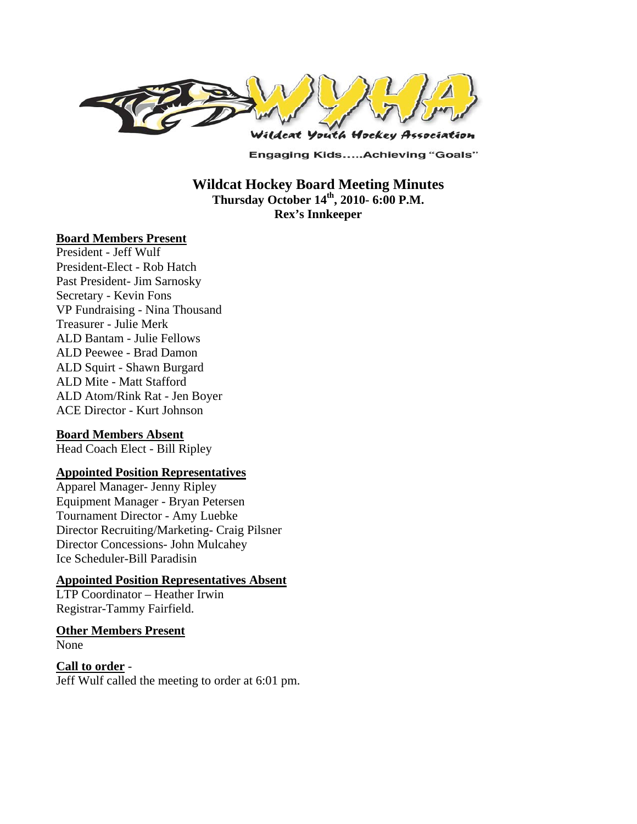

**Engaging Kids.....Achieving "Goals"** 

**Wildcat Hockey Board Meeting Minutes Thursday October 14th, 2010- 6:00 P.M. Rex's Innkeeper** 

#### **Board Members Present**

President - Jeff Wulf President-Elect - Rob Hatch Past President- Jim Sarnosky Secretary - Kevin Fons VP Fundraising - Nina Thousand Treasurer - Julie Merk ALD Bantam - Julie Fellows ALD Peewee - Brad Damon ALD Squirt - Shawn Burgard ALD Mite - Matt Stafford ALD Atom/Rink Rat - Jen Boyer ACE Director - Kurt Johnson

#### **Board Members Absent**

Head Coach Elect - Bill Ripley

#### **Appointed Position Representatives**

Apparel Manager- Jenny Ripley Equipment Manager - Bryan Petersen Tournament Director - Amy Luebke Director Recruiting/Marketing- Craig Pilsner Director Concessions- John Mulcahey Ice Scheduler-Bill Paradisin

#### **Appointed Position Representatives Absent**

LTP Coordinator – Heather Irwin Registrar-Tammy Fairfield.

#### **Other Members Present**

None

#### **Call to order** -

Jeff Wulf called the meeting to order at 6:01 pm.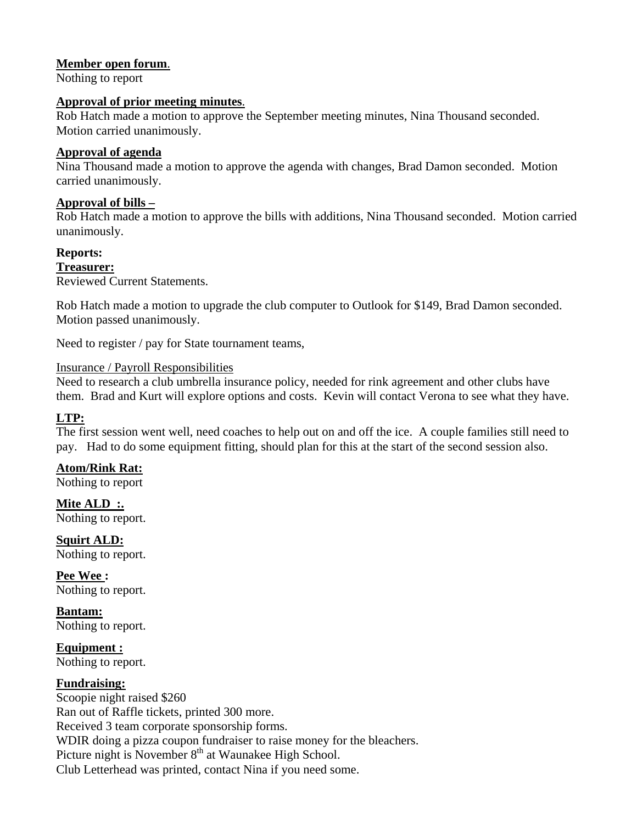#### **Member open forum**.

Nothing to report

#### **Approval of prior meeting minutes**.

Rob Hatch made a motion to approve the September meeting minutes, Nina Thousand seconded. Motion carried unanimously.

#### **Approval of agenda**

Nina Thousand made a motion to approve the agenda with changes, Brad Damon seconded. Motion carried unanimously.

#### **Approval of bills –**

Rob Hatch made a motion to approve the bills with additions, Nina Thousand seconded. Motion carried unanimously.

#### **Reports:**

## **Treasurer:**

Reviewed Current Statements.

Rob Hatch made a motion to upgrade the club computer to Outlook for \$149, Brad Damon seconded. Motion passed unanimously.

Need to register / pay for State tournament teams,

#### Insurance / Payroll Responsibilities

Need to research a club umbrella insurance policy, needed for rink agreement and other clubs have them. Brad and Kurt will explore options and costs. Kevin will contact Verona to see what they have.

## **LTP:**

The first session went well, need coaches to help out on and off the ice. A couple families still need to pay. Had to do some equipment fitting, should plan for this at the start of the second session also.

## **Atom/Rink Rat:**

Nothing to report

Mite ALD :. Nothing to report.

**Squirt ALD:**  Nothing to report.

**Pee Wee :**  Nothing to report.

**Bantam:**  Nothing to report.

**Equipment :**  Nothing to report.

## **Fundraising:**

Scoopie night raised \$260 Ran out of Raffle tickets, printed 300 more. Received 3 team corporate sponsorship forms. WDIR doing a pizza coupon fundraiser to raise money for the bleachers. Picture night is November  $8<sup>th</sup>$  at Waunakee High School. Club Letterhead was printed, contact Nina if you need some.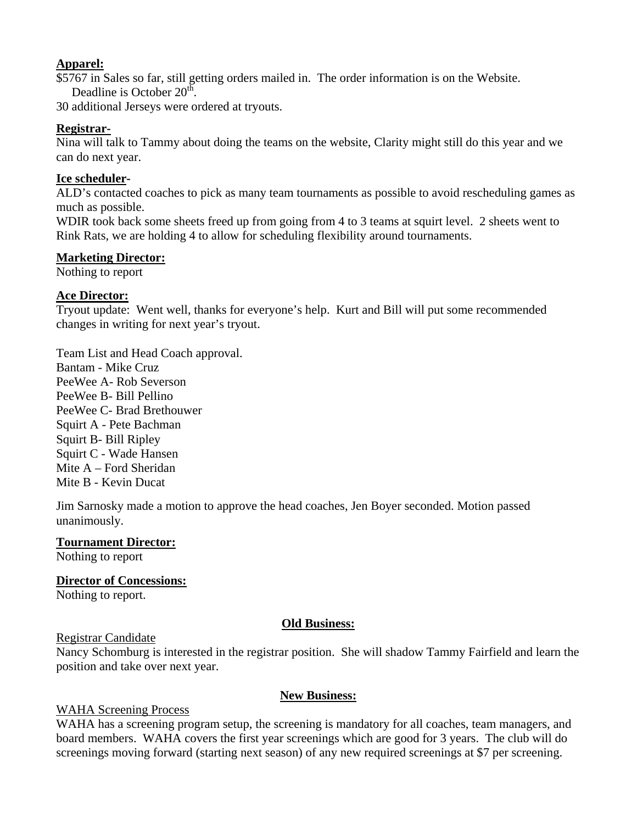#### **Apparel:**

\$5767 in Sales so far, still getting orders mailed in. The order information is on the Website. Deadline is October 20<sup>th</sup>.

30 additional Jerseys were ordered at tryouts.

## **Registrar-**

Nina will talk to Tammy about doing the teams on the website, Clarity might still do this year and we can do next year.

## **Ice scheduler-**

ALD's contacted coaches to pick as many team tournaments as possible to avoid rescheduling games as much as possible.

WDIR took back some sheets freed up from going from 4 to 3 teams at squirt level. 2 sheets went to Rink Rats, we are holding 4 to allow for scheduling flexibility around tournaments.

## **Marketing Director:**

Nothing to report

## **Ace Director:**

Tryout update: Went well, thanks for everyone's help. Kurt and Bill will put some recommended changes in writing for next year's tryout.

Team List and Head Coach approval. Bantam - Mike Cruz PeeWee A- Rob Severson

PeeWee B- Bill Pellino PeeWee C- Brad Brethouwer Squirt A - Pete Bachman Squirt B- Bill Ripley Squirt C - Wade Hansen Mite A – Ford Sheridan Mite B - Kevin Ducat

Jim Sarnosky made a motion to approve the head coaches, Jen Boyer seconded. Motion passed unanimously.

## **Tournament Director:**

Nothing to report

# **Director of Concessions:**

Nothing to report.

# **Old Business:**

## Registrar Candidate

Nancy Schomburg is interested in the registrar position. She will shadow Tammy Fairfield and learn the position and take over next year.

## **New Business:**

# WAHA Screening Process

WAHA has a screening program setup, the screening is mandatory for all coaches, team managers, and board members. WAHA covers the first year screenings which are good for 3 years. The club will do screenings moving forward (starting next season) of any new required screenings at \$7 per screening.